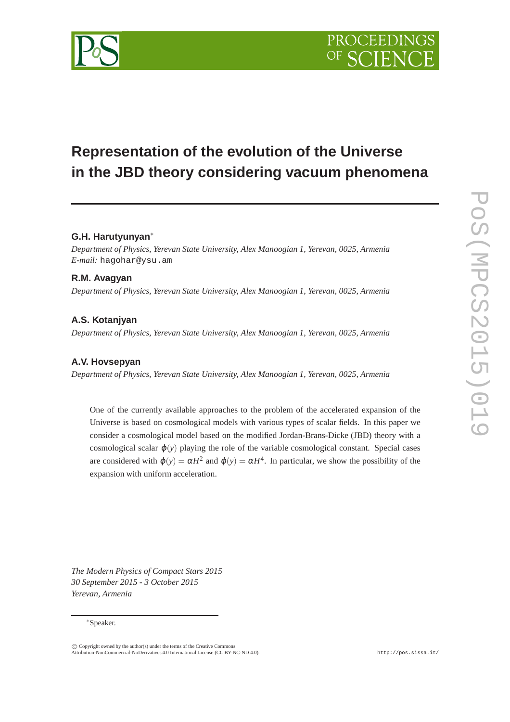# **Representation of the evolution of the Universe in the JBD theory considering vacuum phenomena**

# **G.H. Harutyunyan**∗

*Department of Physics, Yerevan State University, Alex Manoogian 1, Yerevan, 0025, Armenia E-mail:* hagohar@ysu.am

# **R.M. Avagyan**

*Department of Physics, Yerevan State University, Alex Manoogian 1, Yerevan, 0025, Armenia*

# **A.S. Kotanjyan**

*Department of Physics, Yerevan State University, Alex Manoogian 1, Yerevan, 0025, Armenia*

### **A.V. Hovsepyan**

*Department of Physics, Yerevan State University, Alex Manoogian 1, Yerevan, 0025, Armenia*

One of the currently available approaches to the problem of the accelerated expansion of the Universe is based on cosmological models with various types of scalar fields. In this paper we consider a cosmological model based on the modified Jordan-Brans-Dicke (JBD) theory with a cosmological scalar  $\varphi(y)$  playing the role of the variable cosmological constant. Special cases are considered with  $\varphi(y) = \alpha H^2$  and  $\varphi(y) = \alpha H^4$ . In particular, we show the possibility of the expansion with uniform acceleration.

*The Modern Physics of Compact Stars 2015 30 September 2015 - 3 October 2015 Yerevan, Armenia*

#### ∗Speaker.

 $\overline{c}$  Copyright owned by the author(s) under the terms of the Creative Commons Attribution-NonCommercial-NoDerivatives 4.0 International License (CC BY-NC-ND 4.0). http://pos.sissa.it/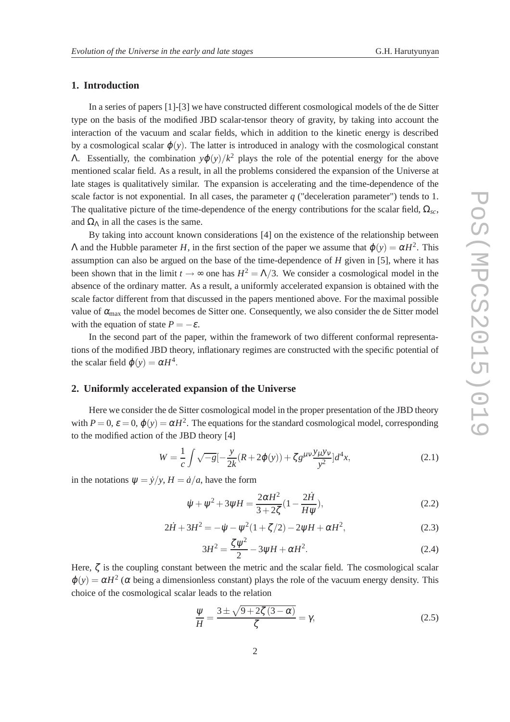### **1. Introduction**

In a series of papers [1]-[3] we have constructed different cosmological models of the de Sitter type on the basis of the modified JBD scalar-tensor theory of gravity, by taking into account the interaction of the vacuum and scalar fields, which in addition to the kinetic energy is described by a cosmological scalar  $\varphi(y)$ . The latter is introduced in analogy with the cosmological constant Λ. Essentially, the combination *y*ϕ(*y*)/*k* <sup>2</sup> plays the role of the potential energy for the above mentioned scalar field. As a result, in all the problems considered the expansion of the Universe at late stages is qualitatively similar. The expansion is accelerating and the time-dependence of the scale factor is not exponential. In all cases, the parameter  $q$  ("deceleration parameter") tends to 1. The qualitative picture of the time-dependence of the energy contributions for the scalar field,  $\Omega_{sc}$ , and  $\Omega_{\Lambda}$  in all the cases is the same.

By taking into account known considerations [4] on the existence of the relationship between  $Λ$  and the Hubble parameter *H*, in the first section of the paper we assume that  $φ(y) = αH^2$ . This assumption can also be argued on the base of the time-dependence of *H* given in [5], where it has been shown that in the limit  $t \to \infty$  one has  $H^2 = \Lambda/3$ . We consider a cosmological model in the absence of the ordinary matter. As a result, a uniformly accelerated expansion is obtained with the scale factor different from that discussed in the papers mentioned above. For the maximal possible value of  $\alpha_{\text{max}}$  the model becomes de Sitter one. Consequently, we also consider the de Sitter model with the equation of state  $P = -\varepsilon$ .

In the second part of the paper, within the framework of two different conformal representations of the modified JBD theory, inflationary regimes are constructed with the specific potential of the scalar field  $\varphi(y) = \alpha H^4$ .

#### **2. Uniformly accelerated expansion of the Universe**

Here we consider the de Sitter cosmological model in the proper presentation of the JBD theory with  $P = 0$ ,  $\varepsilon = 0$ ,  $\varphi(y) = \alpha H^2$ . The equations for the standard cosmological model, corresponding to the modified action of the JBD theory [4]

$$
W = \frac{1}{c} \int \sqrt{-g} \left[-\frac{y}{2k}(R + 2\varphi(y)) + \zeta g^{\mu\nu}\frac{y_{\mu}y_{\nu}}{y^2}\right] d^4x,\tag{2.1}
$$

in the notations  $\psi = \dot{\gamma}/\gamma$ ,  $H = \dot{a}/a$ , have the form

$$
\dot{\psi} + \psi^2 + 3\psi H = \frac{2\alpha H^2}{3 + 2\zeta} (1 - \frac{2\dot{H}}{H\psi}),
$$
\n(2.2)

$$
2\dot{H} + 3H^2 = -\dot{\psi} - \psi^2(1 + \zeta/2) - 2\psi H + \alpha H^2,
$$
\n(2.3)

$$
3H^2 = \frac{\zeta \psi^2}{2} - 3\psi H + \alpha H^2.
$$
 (2.4)

Here,  $\zeta$  is the coupling constant between the metric and the scalar field. The cosmological scalar  $\varphi(y) = \alpha H^2$  ( $\alpha$  being a dimensionless constant) plays the role of the vacuum energy density. This choice of the cosmological scalar leads to the relation

$$
\frac{\psi}{H} = \frac{3 \pm \sqrt{9 + 2\zeta (3 - \alpha)}}{\zeta} = \gamma,
$$
\n(2.5)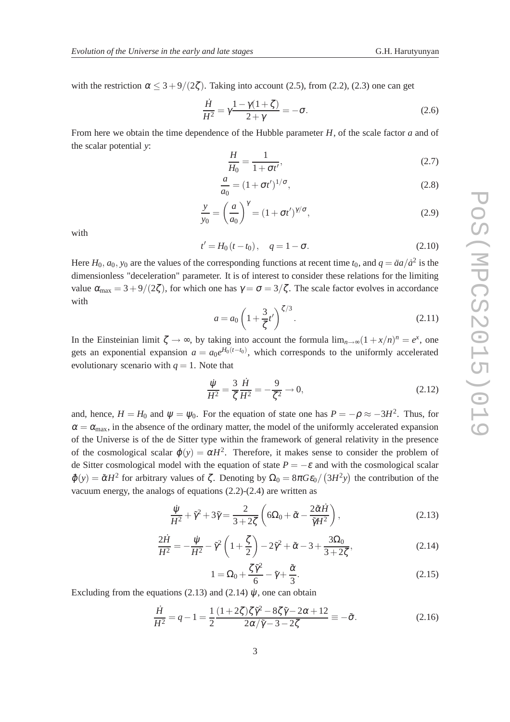with the restriction  $\alpha \leq 3+9/(2\zeta)$ . Taking into account (2.5), from (2.2), (2.3) one can get

$$
\frac{\dot{H}}{H^2} = \gamma \frac{1 - \gamma (1 + \zeta)}{2 + \gamma} = -\sigma.
$$
\n(2.6)

From here we obtain the time dependence of the Hubble parameter *H*, of the scale factor *a* and of the scalar potential *y*:

$$
\frac{H}{H_0} = \frac{1}{1 + \sigma t'},\tag{2.7}
$$

$$
\frac{a}{a_0} = (1 + \sigma t')^{1/\sigma},
$$
\n(2.8)

$$
\frac{y}{y_0} = \left(\frac{a}{a_0}\right)^{\gamma} = (1 + \sigma t')^{\gamma/\sigma},\tag{2.9}
$$

with

$$
t' = H_0(t - t_0), \quad q = 1 - \sigma.
$$
 (2.10)

Here  $H_0$ ,  $a_0$ ,  $y_0$  are the values of the corresponding functions at recent time  $t_0$ , and  $q = \ddot{a}a/\dot{a}^2$  is the dimensionless "deceleration" parameter. It is of interest to consider these relations for the limiting value  $\alpha_{\text{max}} = 3 + 9/(2\zeta)$ , for which one has  $\gamma = \sigma = 3/\zeta$ . The scale factor evolves in accordance with

$$
a = a_0 \left( 1 + \frac{3}{\zeta} t' \right)^{\zeta/3}.
$$
 (2.11)

In the Einsteinian limit  $\zeta \to \infty$ , by taking into account the formula  $\lim_{n\to\infty}(1+x/n)^n = e^x$ , one gets an exponential expansion  $a = a_0 e^{H_0(t-t_0)}$ , which corresponds to the uniformly accelerated evolutionary scenario with  $q = 1$ . Note that

$$
\frac{\dot{\psi}}{H^2} = \frac{3}{\zeta} \frac{\dot{H}}{H^2} = -\frac{9}{\zeta^2} \to 0,
$$
\n(2.12)

and, hence,  $H = H_0$  and  $\psi = \psi_0$ . For the equation of state one has  $P = -\rho \approx -3H^2$ . Thus, for  $\alpha = \alpha_{\text{max}}$ , in the absence of the ordinary matter, the model of the uniformly accelerated expansion of the Universe is of the de Sitter type within the framework of general relativity in the presence of the cosmological scalar  $\varphi(y) = \alpha H^2$ . Therefore, it makes sense to consider the problem of de Sitter cosmological model with the equation of state  $P = -\varepsilon$  and with the cosmological scalar  $\tilde{\varphi}(y) = \tilde{\alpha}H^2$  for arbitrary values of  $\zeta$ . Denoting by  $\Omega_0 = 8\pi G \epsilon_0 / (3H^2y)$  the contribution of the vacuum energy, the analogs of equations (2.2)-(2.4) are written as

$$
\frac{\dot{\psi}}{H^2} + \tilde{\gamma}^2 + 3\tilde{\gamma} = \frac{2}{3 + 2\zeta} \left( 6\Omega_0 + \tilde{\alpha} - \frac{2\tilde{\alpha}\dot{H}}{\tilde{\gamma}H^2} \right),\tag{2.13}
$$

$$
\frac{2\dot{H}}{H^2} = -\frac{\dot{\psi}}{H^2} - \tilde{\gamma}^2 \left(1 + \frac{\zeta}{2}\right) - 2\tilde{\gamma}^2 + \tilde{\alpha} - 3 + \frac{3\Omega_0}{3 + 2\zeta},\tag{2.14}
$$

$$
1 = \Omega_0 + \frac{\zeta \tilde{\gamma}^2}{6} - \tilde{\gamma} + \frac{\tilde{\alpha}}{3}.
$$
 (2.15)

Excluding from the equations (2.13) and (2.14)  $\dot{\psi}$ , one can obtain

$$
\frac{\dot{H}}{H^2} = q - 1 = \frac{1}{2} \frac{(1+2\zeta)\zeta\tilde{\gamma}^2 - 8\zeta\tilde{\gamma} - 2\alpha + 12}{2\alpha/\tilde{\gamma} - 3 - 2\zeta} \equiv -\tilde{\sigma}.
$$
\n(2.16)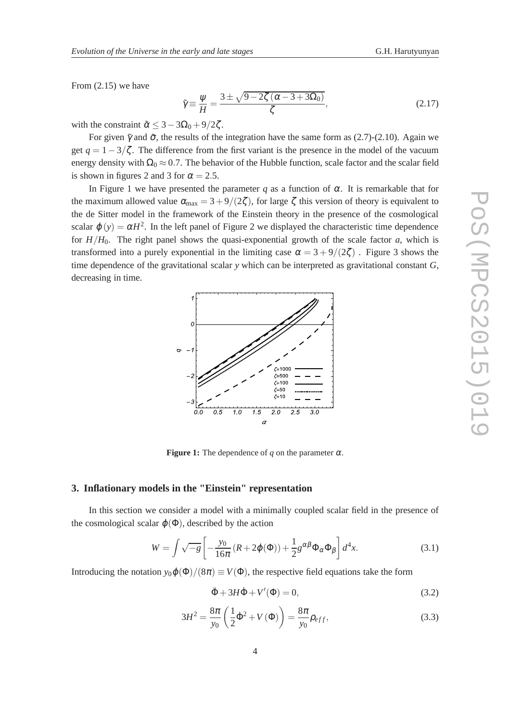From (2.15) we have

$$
\tilde{\gamma} \equiv \frac{\psi}{H} = \frac{3 \pm \sqrt{9 - 2\zeta \left(\alpha - 3 + 3\Omega_0\right)}}{\zeta},\tag{2.17}
$$

with the constraint  $\tilde{\alpha} \leq 3 - 3\Omega_0 + 9/2\zeta$ .

For given  $\tilde{\gamma}$  and  $\tilde{\sigma}$ , the results of the integration have the same form as (2.7)-(2.10). Again we get  $q = 1-3/\zeta$ . The difference from the first variant is the presence in the model of the vacuum energy density with  $\Omega_0 \approx 0.7$ . The behavior of the Hubble function, scale factor and the scalar field is shown in figures 2 and 3 for  $\alpha = 2.5$ .

In Figure 1 we have presented the parameter *q* as a function of  $\alpha$ . It is remarkable that for the maximum allowed value  $\alpha_{\text{max}} = 3 + 9/(2\zeta)$ , for large  $\zeta$  this version of theory is equivalent to the de Sitter model in the framework of the Einstein theory in the presence of the cosmological scalar  $\varphi(y) = \alpha H^2$ . In the left panel of Figure 2 we displayed the characteristic time dependence for  $H/H_0$ . The right panel shows the quasi-exponential growth of the scale factor *a*, which is transformed into a purely exponential in the limiting case  $\alpha = 3 + 9/(2\zeta)$ . Figure 3 shows the time dependence of the gravitational scalar *y* which can be interpreted as gravitational constant *G*, decreasing in time.



**Figure 1:** The dependence of *q* on the parameter  $\alpha$ .

#### **3. Inflationary models in the "Einstein" representation**

In this section we consider a model with a minimally coupled scalar field in the presence of the cosmological scalar  $\varphi(\Phi)$ , described by the action

$$
W = \int \sqrt{-g} \left[ -\frac{y_0}{16\pi} \left( R + 2\varphi(\Phi) \right) + \frac{1}{2} g^{\alpha\beta} \Phi_\alpha \Phi_\beta \right] d^4 x. \tag{3.1}
$$

Introducing the notation  $y_0\varphi(\Phi)/(8\pi) \equiv V(\Phi)$ , the respective field equations take the form

$$
\ddot{\Phi} + 3H\dot{\Phi} + V'(\Phi) = 0,\tag{3.2}
$$

$$
3H^{2} = \frac{8\pi}{y_{0}} \left( \frac{1}{2} \dot{\Phi}^{2} + V(\Phi) \right) = \frac{8\pi}{y_{0}} \rho_{eff},
$$
\n(3.3)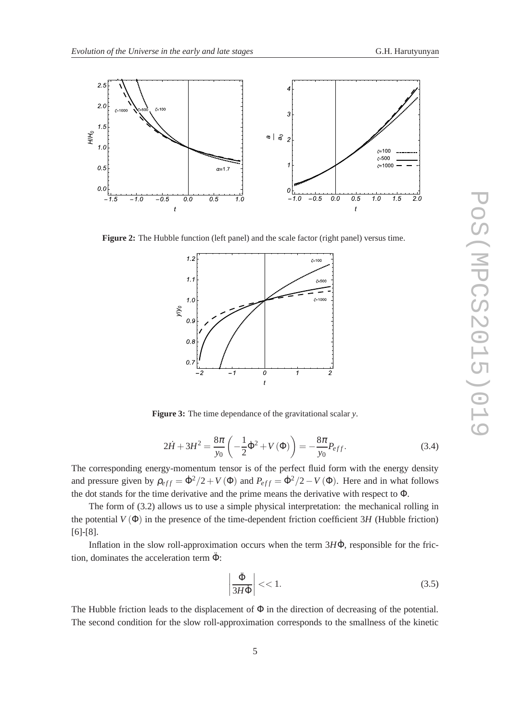

**Figure 2:** The Hubble function (left panel) and the scale factor (right panel) versus time.



**Figure 3:** The time dependance of the gravitational scalar *y*.

$$
2\dot{H} + 3H^2 = \frac{8\pi}{y_0} \left( -\frac{1}{2} \dot{\Phi}^2 + V(\Phi) \right) = -\frac{8\pi}{y_0} P_{eff}.
$$
 (3.4)

The corresponding energy-momentum tensor is of the perfect fluid form with the energy density and pressure given by  $\rho_{eff} = \dot{\Phi}^2/2 + V(\Phi)$  and  $P_{eff} = \dot{\Phi}^2/2 - V(\Phi)$ . Here and in what follows the dot stands for the time derivative and the prime means the derivative with respect to Φ.

The form of (3.2) allows us to use a simple physical interpretation: the mechanical rolling in the potential  $V(\Phi)$  in the presence of the time-dependent friction coefficient 3H (Hubble friction) [6]-[8].

Inflation in the slow roll-approximation occurs when the term 3HΦ, responsible for the friction, dominates the acceleration term  $\ddot{\Phi}$ :

$$
\left|\frac{\ddot{\Phi}}{3H\dot{\Phi}}\right| < < 1. \tag{3.5}
$$

The Hubble friction leads to the displacement of  $\Phi$  in the direction of decreasing of the potential. The second condition for the slow roll-approximation corresponds to the smallness of the kinetic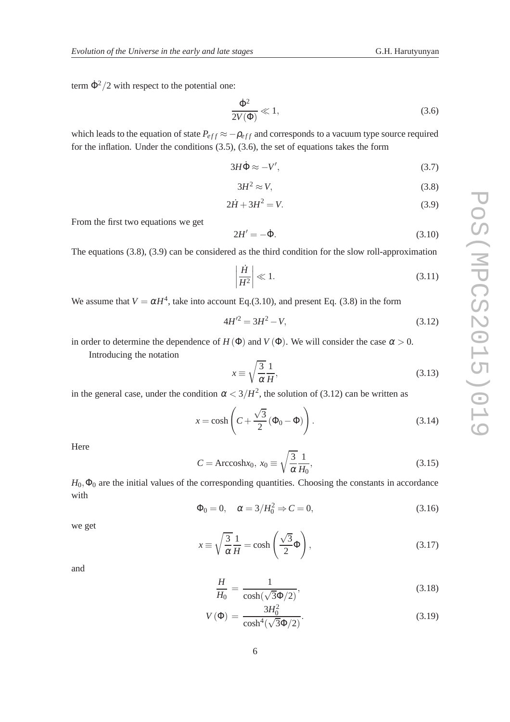term  $\dot{\Phi}^2/2$  with respect to the potential one:

$$
\frac{\dot{\Phi}^2}{2V(\Phi)} \ll 1,\tag{3.6}
$$

which leads to the equation of state  $P_{eff} \approx -\rho_{eff}$  and corresponds to a vacuum type source required for the inflation. Under the conditions (3.5), (3.6), the set of equations takes the form

$$
3H\dot{\Phi} \approx -V',\tag{3.7}
$$

$$
3H^2 \approx V,\tag{3.8}
$$

$$
2\dot{H} + 3H^2 = V.
$$
 (3.9)

From the first two equations we get

$$
2H' = -\dot{\Phi}.\tag{3.10}
$$

The equations (3.8), (3.9) can be considered as the third condition for the slow roll-approximation

$$
\left|\frac{\dot{H}}{H^2}\right| \ll 1.
$$
\n(3.11)

We assume that  $V = \alpha H^4$ , take into account Eq. (3.10), and present Eq. (3.8) in the form

$$
4H^2 = 3H^2 - V,\tag{3.12}
$$

in order to determine the dependence of  $H(\Phi)$  and  $V(\Phi)$ . We will consider the case  $\alpha > 0$ .

Introducing the notation

$$
x \equiv \sqrt{\frac{3}{\alpha}} \frac{1}{H},\tag{3.13}
$$

in the general case, under the condition  $\alpha < 3/H^2$ , the solution of (3.12) can be written as

$$
x = \cosh\left(C + \frac{\sqrt{3}}{2}(\Phi_0 - \Phi)\right). \tag{3.14}
$$

Here

$$
C = \text{Arccosh} x_0, \ x_0 \equiv \sqrt{\frac{3}{\alpha}} \frac{1}{H_0},\tag{3.15}
$$

 $H_0$ ,  $\Phi_0$  are the initial values of the corresponding quantities. Choosing the constants in accordance with

$$
\Phi_0 = 0, \quad \alpha = 3/H_0^2 \Rightarrow C = 0,
$$
\n(3.16)

we get

$$
x \equiv \sqrt{\frac{3}{\alpha}} \frac{1}{H} = \cosh\left(\frac{\sqrt{3}}{2}\Phi\right),\tag{3.17}
$$

and

$$
\frac{H}{H_0} = \frac{1}{\cosh(\sqrt{3}\Phi/2)},
$$
\n(3.18)

$$
V(\Phi) = \frac{3H_0^2}{\cosh^4(\sqrt{3}\Phi/2)}.
$$
\n(3.19)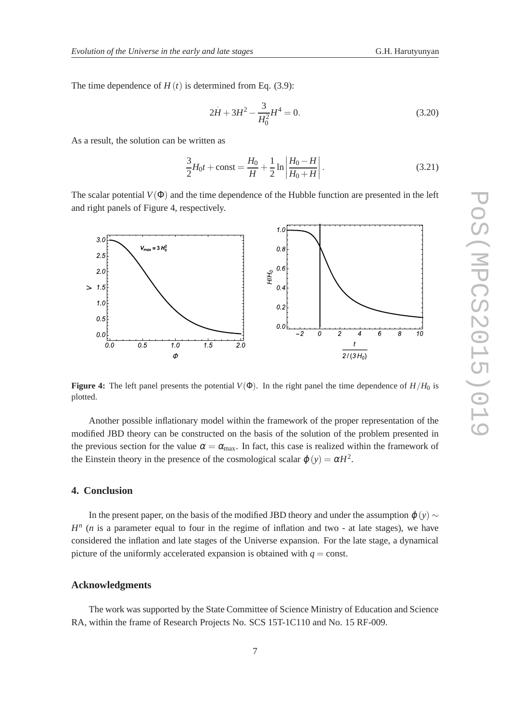The time dependence of  $H(t)$  is determined from Eq. (3.9):

$$
2H + 3H^2 - \frac{3}{H_0^2}H^4 = 0.
$$
\n(3.20)

As a result, the solution can be written as

$$
\frac{3}{2}H_0t + \text{const} = \frac{H_0}{H} + \frac{1}{2}\ln\left|\frac{H_0 - H}{H_0 + H}\right|.
$$
\n(3.21)

The scalar potential  $V(\Phi)$  and the time dependence of the Hubble function are presented in the left and right panels of Figure 4, respectively.



**Figure 4:** The left panel presents the potential  $V(\Phi)$ . In the right panel the time dependence of  $H/H_0$  is plotted.

Another possible inflationary model within the framework of the proper representation of the modified JBD theory can be constructed on the basis of the solution of the problem presented in the previous section for the value  $\alpha = \alpha_{\text{max}}$ . In fact, this case is realized within the framework of the Einstein theory in the presence of the cosmological scalar  $\varphi(y) = \alpha H^2$ .

#### **4. Conclusion**

In the present paper, on the basis of the modified JBD theory and under the assumption  $\varphi(y)$  ∼  $H<sup>n</sup>$  (*n* is a parameter equal to four in the regime of inflation and two - at late stages), we have considered the inflation and late stages of the Universe expansion. For the late stage, a dynamical picture of the uniformly accelerated expansion is obtained with  $q = \text{const.}$ 

#### **Acknowledgments**

The work was supported by the State Committee of Science Ministry of Education and Science RA, within the frame of Research Projects No. SCS 15T-1C110 and No. 15 RF-009.